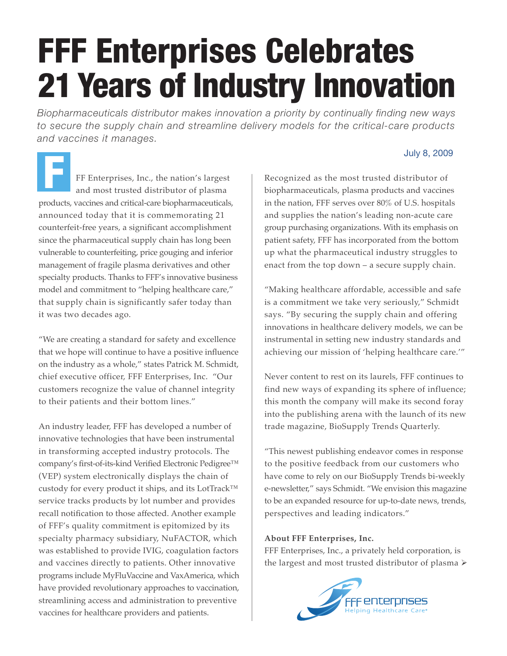## FFF Enterprises Celebrates 21 Years of Industry Innovation

*Biopharmaceuticals distributor makes innovation a priority by continually finding new ways to secure the supply chain and streamline delivery models for the critical-care products and vaccines it manages.*

FF Enterprises, Inc., the nation's largest and most trusted distributor of plasma products, vaccines and critical-care biopharmaceuticals, announced today that it is commemorating 21 counterfeit-free years, a significant accomplishment since the pharmaceutical supply chain has long been vulnerable to counterfeiting, price gouging and inferior management of fragile plasma derivatives and other specialty products. Thanks to FFF's innovative business model and commitment to "helping healthcare care," that supply chain is significantly safer today than it was two decades ago. July 8, 2009<br>FF Enterprises, Inc., the nation's largest Recognized as the most trusted distributor of and most trusted distributor of plasma<br>PER Enterprises, Inc., the nation's largest Recognized as the most trusted distri

"We are creating a standard for safety and excellence that we hope will continue to have a positive influence on the industry as a whole," states Patrick M. Schmidt, chief executive officer, FFF Enterprises, Inc. "Our customers recognize the value of channel integrity to their patients and their bottom lines."

An industry leader, FFF has developed a number of innovative technologies that have been instrumental in transforming accepted industry protocols. The company's first-of-its-kind Verified Electronic Pedigree™ (VEP) system electronically displays the chain of custody for every product it ships, and its LotTrack™ service tracks products by lot number and provides recall notification to those affected. Another example of FFF's quality commitment is epitomized by its specialty pharmacy subsidiary, NuFACTOR, which was established to provide IVIG, coagulation factors and vaccines directly to patients. Other innovative programs include MyFluVaccine and VaxAmerica, which have provided revolutionary approaches to vaccination, streamlining access and administration to preventive vaccines for healthcare providers and patients.

Recognized as the most trusted distributor of biopharmaceuticals, plasma products and vaccines in the nation, FFF serves over 80% of U.S. hospitals and supplies the nation's leading non-acute care group purchasing organizations. With its emphasis on patient safety, FFF has incorporated from the bottom up what the pharmaceutical industry struggles to enact from the top down – a secure supply chain.

"Making healthcare affordable, accessible and safe is a commitment we take very seriously," Schmidt says. "By securing the supply chain and offering innovations in healthcare delivery models, we can be instrumental in setting new industry standards and achieving our mission of 'helping healthcare care.'"

Never content to rest on its laurels, FFF continues to find new ways of expanding its sphere of influence; this month the company will make its second foray into the publishing arena with the launch of its new trade magazine, BioSupply Trends Quarterly.

"This newest publishing endeavor comes in response to the positive feedback from our customers who have come to rely on our BioSupply Trends bi-weekly e-newsletter," says Schmidt. "We envision this magazine to be an expanded resource for up-to-date news, trends, perspectives and leading indicators."

## **About FFF Enterprises, Inc.**

FFF Enterprises, Inc., a privately held corporation, is the largest and most trusted distributor of plasma